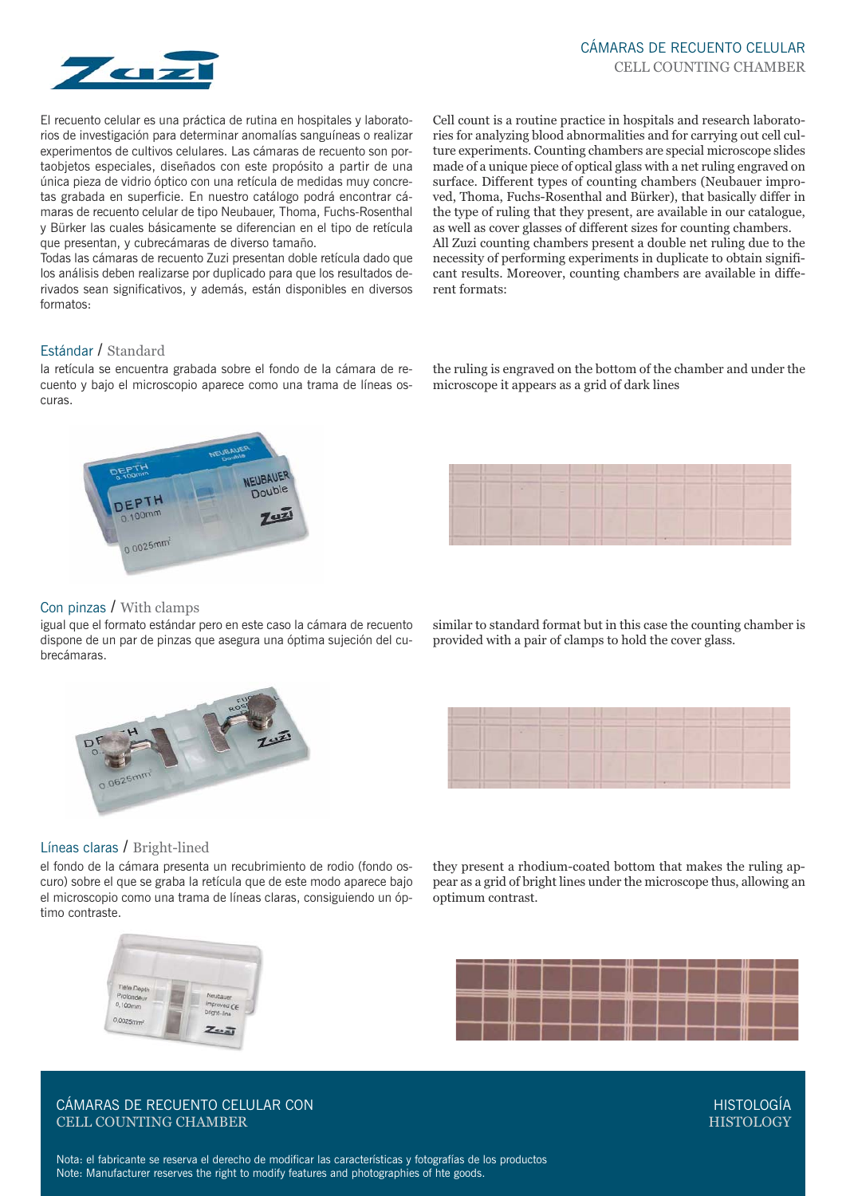

El recuento celular es una práctica de rutina en hospitales y laboratorios de investigación para determinar anomalías sanguíneas o realizar experimentos de cultivos celulares. Las cámaras de recuento son portaobjetos especiales, diseñados con este propósito a partir de una única pieza de vidrio óptico con una retícula de medidas muy concretas grabada en superficie. En nuestro catálogo podrá encontrar cámaras de recuento celular de tipo Neubauer, Thoma, Fuchs-Rosenthal y Bürker las cuales básicamente se diferencian en el tipo de retícula que presentan, y cubrecámaras de diverso tamaño.

Todas las cámaras de recuento Zuzi presentan doble retícula dado que los análisis deben realizarse por duplicado para que los resultados derivados sean significativos, y además, están disponibles en diversos formatos:

Cell count is a routine practice in hospitals and research laboratories for analyzing blood abnormalities and for carrying out cell culture experiments. Counting chambers are special microscope slides made of a unique piece of optical glass with a net ruling engraved on surface. Different types of counting chambers (Neubauer improved, Thoma, Fuchs-Rosenthal and Bürker), that basically differ in the type of ruling that they present, are available in our catalogue, as well as cover glasses of different sizes for counting chambers. All Zuzi counting chambers present a double net ruling due to the necessity of performing experiments in duplicate to obtain significant results. Moreover, counting chambers are available in different formats:

# Estándar / Standard

la retícula se encuentra grabada sobre el fondo de la cámara de recuento y bajo el microscopio aparece como una trama de líneas oscuras.



#### the ruling is engraved on the bottom of the chamber and under the microscope it appears as a grid of dark lines



#### Con pinzas / With clamps

igual que el formato estándar pero en este caso la cámara de recuento dispone de un par de pinzas que asegura una óptima sujeción del cubrecámaras.



similar to standard format but in this case the counting chamber is provided with a pair of clamps to hold the cover glass.



they present a rhodium-coated bottom that makes the ruling appear as a grid of bright lines under the microscope thus, allowing an

optimum contrast.

#### Líneas claras / Bright-lined

el fondo de la cámara presenta un recubrimiento de rodio (fondo oscuro) sobre el que se graba la retícula que de este modo aparece bajo el microscopio como una trama de líneas claras, consiguiendo un óptimo contraste.



CÁMARAS DE RECUENTO CELULAR CON CELL COUNTING CHAMBER

HISTOLOGÍA **HISTOLOGY**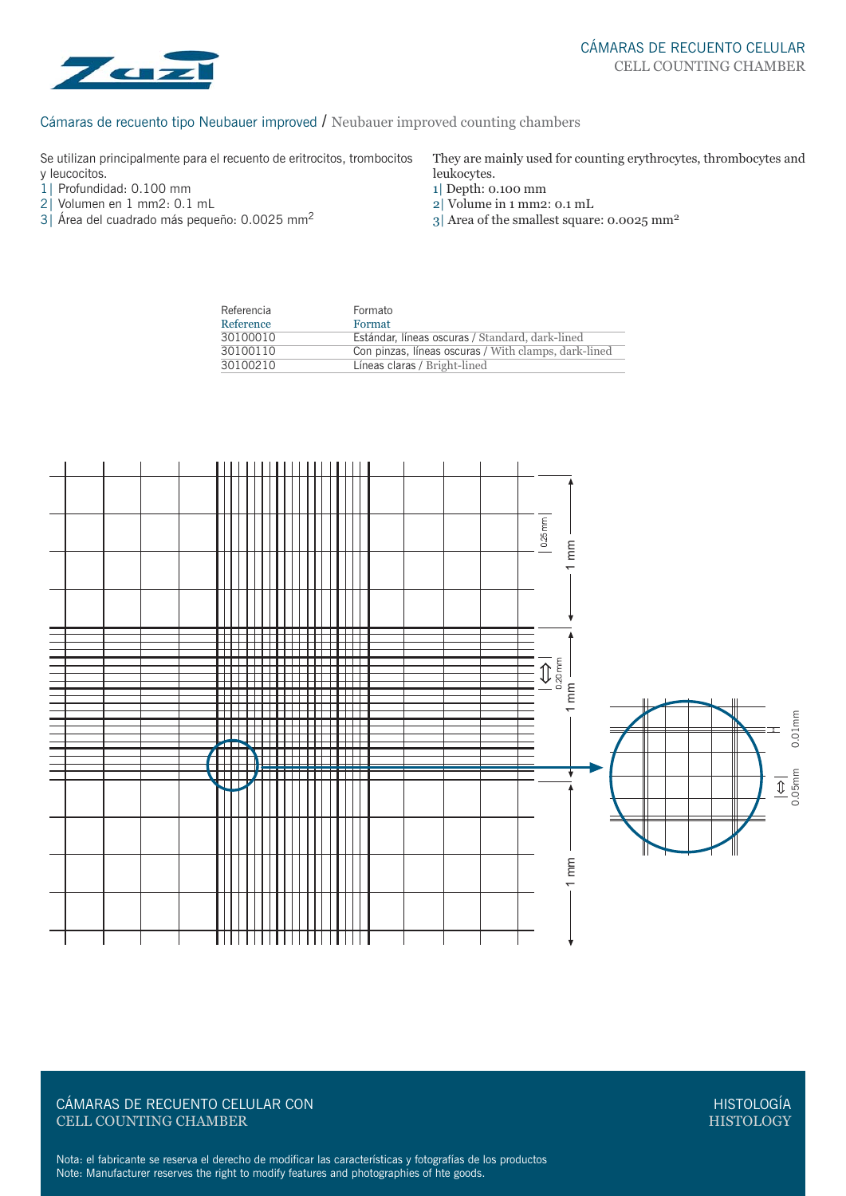

# Cámaras de recuento tipo Neubauer improved / Neubauer improved counting chambers

Se utilizan principalmente para el recuento de eritrocitos, trombocitos y leucocitos.

- 1| Profundidad: 0.100 mm
- 2| Volumen en 1 mm2: 0.1 mL
- 3| Área del cuadrado más pequeño: 0.0025 mm2

They are mainly used for counting erythrocytes, thrombocytes and leukocytes.

- 1| Depth: 0.100 mm
- 2| Volume in 1 mm2: 0.1 mL
- 3| Area of the smallest square: 0.0025 mm2

| Referencia | Formato                                              |
|------------|------------------------------------------------------|
| Reference  | Format                                               |
| 30100010   | Estándar, líneas oscuras / Standard, dark-lined      |
| 30100110   | Con pinzas, líneas oscuras / With clamps, dark-lined |
| 30100210   | Líneas claras / Bright-lined                         |



## CÁMARAS DE RECUENTO CELULAR CON CELL COUNTING CHAMBER

HISTOLOGÍA **HISTOLOGY**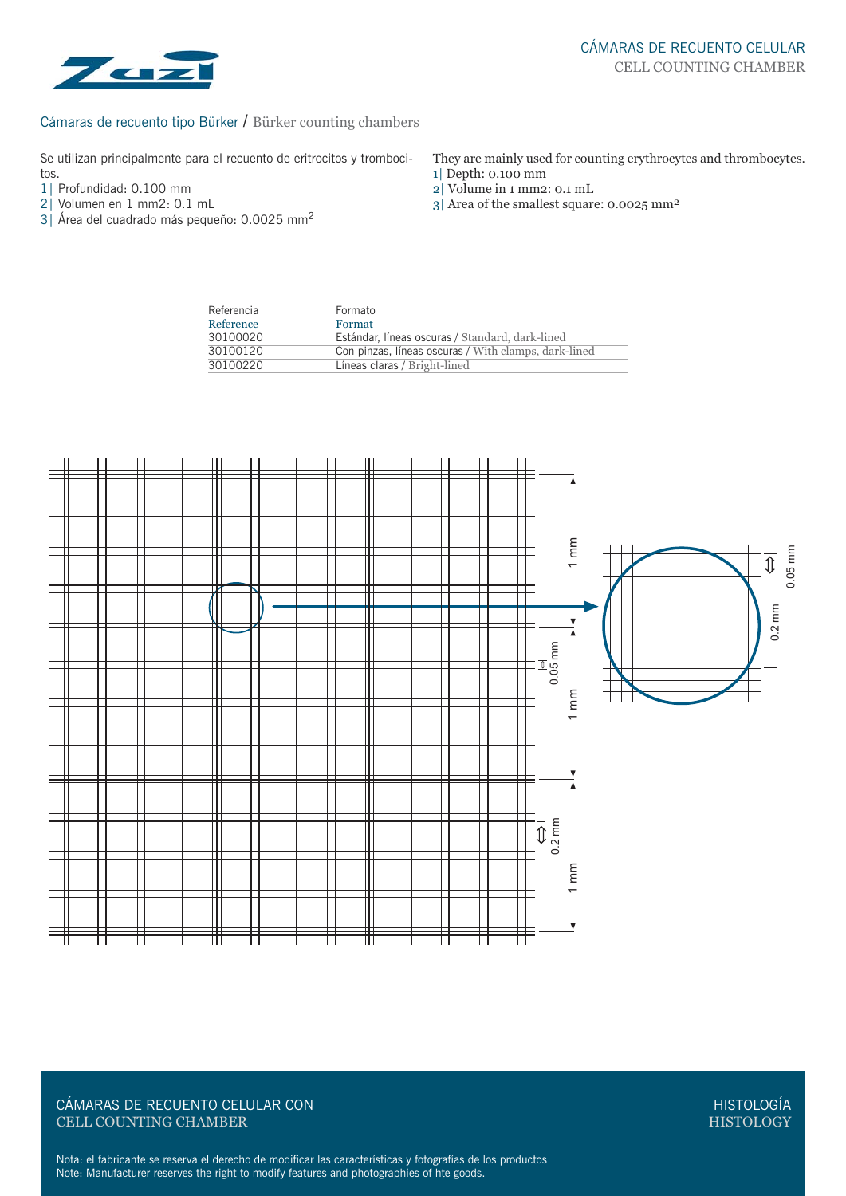

#### Cámaras de recuento tipo Bürker / Bürker counting chambers

Se utilizan principalmente para el recuento de eritrocitos y trombocitos.

- 1| Profundidad: 0.100 mm
- 2| Volumen en 1 mm2: 0.1 mL
- 3| Área del cuadrado más pequeño: 0.0025 mm2
- They are mainly used for counting erythrocytes and thrombocytes. 1| Depth: 0.100 mm
- 2| Volume in 1 mm2: 0.1 mL
- 3| Area of the smallest square: 0.0025 mm2

| Referencia | Formato                                              |
|------------|------------------------------------------------------|
| Reference  | Format                                               |
| 30100020   | Estándar, líneas oscuras / Standard, dark-lined      |
| 30100120   | Con pinzas, líneas oscuras / With clamps, dark-lined |
| 30100220   | Líneas claras / Bright-lined                         |



# CÁMARAS DE RECUENTO CELULAR CON CELL COUNTING CHAMBER

HISTOLOGÍA HISTOLOGY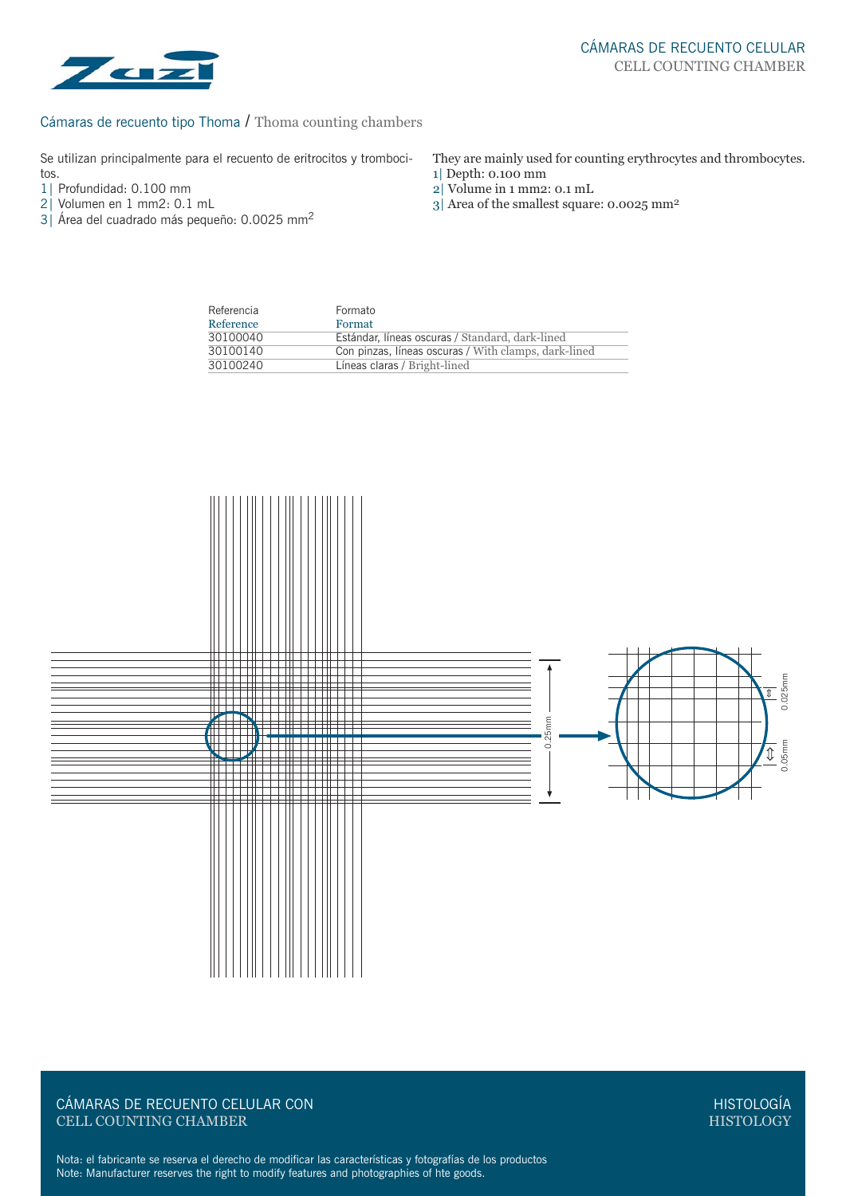

#### Cámaras de recuento tipo Thoma / Thoma counting chambers

Se utilizan principalmente para el recuento de eritrocitos y trombocitos.

- 1| Profundidad: 0.100 mm<br>2| Volumen en 1 mm2: 0.1
- Volumen en 1 mm2: 0.1 mL
- 3| Área del cuadrado más pequeño: 0.0025 mm2
- They are mainly used for counting erythrocytes and thrombocytes. 1| Depth: 0.100 mm
- 2| Volume in 1 mm2: 0.1 mL
- 3| Area of the smallest square: 0.0025 mm2

| Referencia | Formato                                              |  |
|------------|------------------------------------------------------|--|
| Reference  | Format                                               |  |
| 30100040   | Estándar, líneas oscuras / Standard, dark-lined      |  |
| 30100140   | Con pinzas, líneas oscuras / With clamps, dark-lined |  |
| 30100240   | Líneas claras / Bright-lined                         |  |



CÁMARAS DE RECUENTO CELULAR CON CELL COUNTING CHAMBER

HISTOLOGÍA **HISTOLOGY**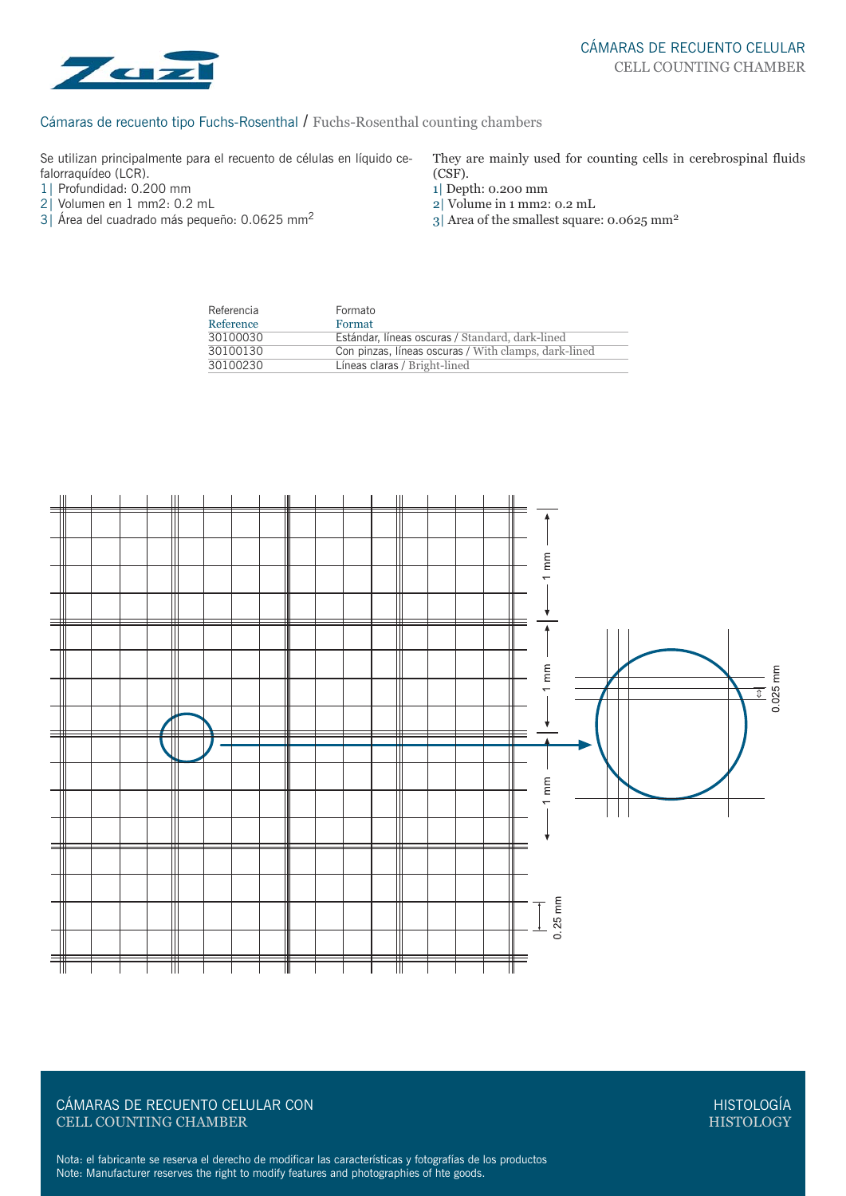

## Cámaras de recuento tipo Fuchs-Rosenthal / Fuchs-Rosenthal counting chambers

Se utilizan principalmente para el recuento de células en líquido cefalorraquídeo (LCR).

- 1| Profundidad: 0.200 mm
- 2| Volumen en 1 mm2: 0.2 mL
- 3| Área del cuadrado más pequeño: 0.0625 mm2

They are mainly used for counting cells in cerebrospinal fluids (CSF).

- 1| Depth: 0.200 mm
- 2| Volume in 1 mm2: 0.2 mL
- 3| Area of the smallest square: 0.0625 mm2

| Referencia | Formato                                              |  |
|------------|------------------------------------------------------|--|
| Reference  | Format                                               |  |
| 30100030   | Estándar, líneas oscuras / Standard, dark-lined      |  |
| 30100130   | Con pinzas, líneas oscuras / With clamps, dark-lined |  |
| 30100230   | Líneas claras / Bright-lined                         |  |



# CÁMARAS DE RECUENTO CELULAR CON CELL COUNTING CHAMBER

HISTOLOGÍA HISTOLOGY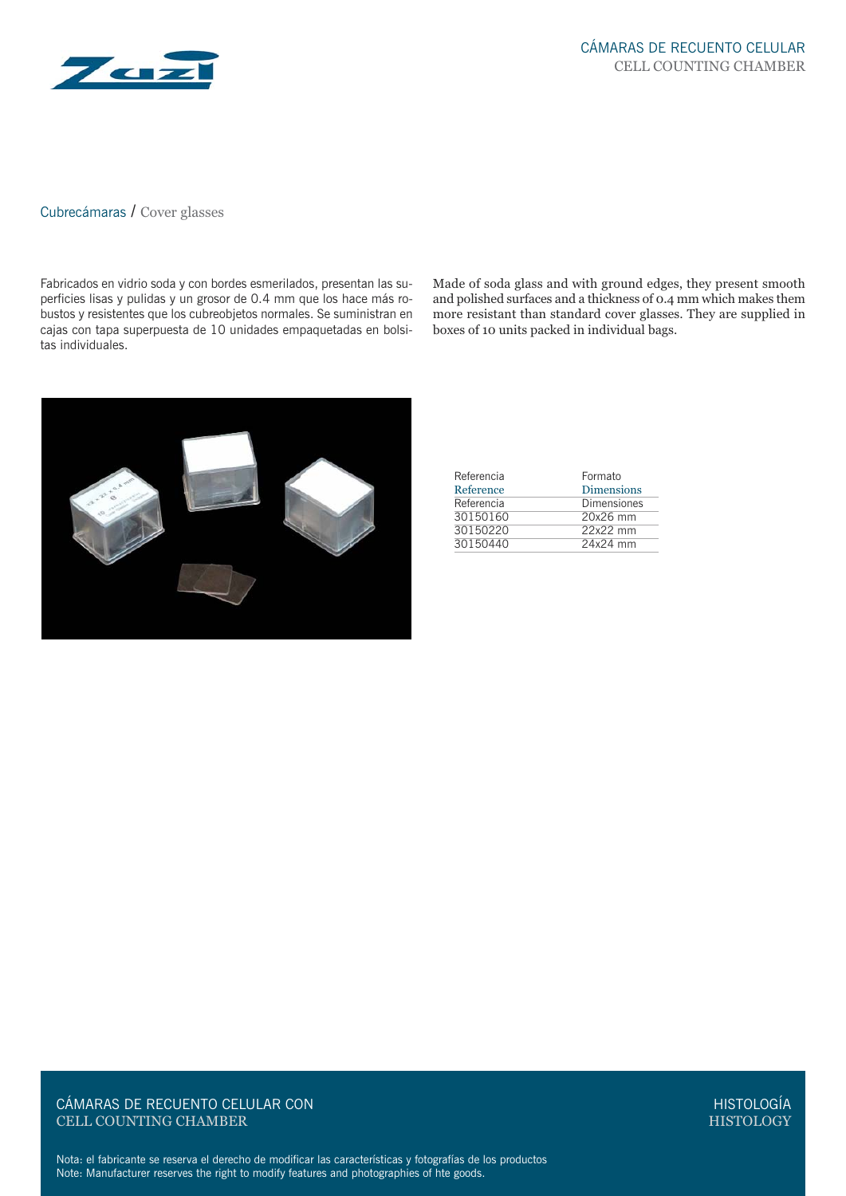

# Cubrecámaras / Cover glasses

Fabricados en vidrio soda y con bordes esmerilados, presentan las superficies lisas y pulidas y un grosor de 0.4 mm que los hace más robustos y resistentes que los cubreobjetos normales. Se suministran en cajas con tapa superpuesta de 10 unidades empaquetadas en bolsitas individuales.

Made of soda glass and with ground edges, they present smooth and polished surfaces and a thickness of 0.4 mm which makes them more resistant than standard cover glasses. They are supplied in boxes of 10 units packed in individual bags.



| Referencia | Formato           |
|------------|-------------------|
| Reference  | <b>Dimensions</b> |
| Referencia | Dimensiones       |
| 30150160   | 20x26 mm          |
| 30150220   | 22x22 mm          |
| 30150440   | 24x24 mm          |

CÁMARAS DE RECUENTO CELULAR CON CELL COUNTING CHAMBER

HISTOLOGÍA **HISTOLOGY**